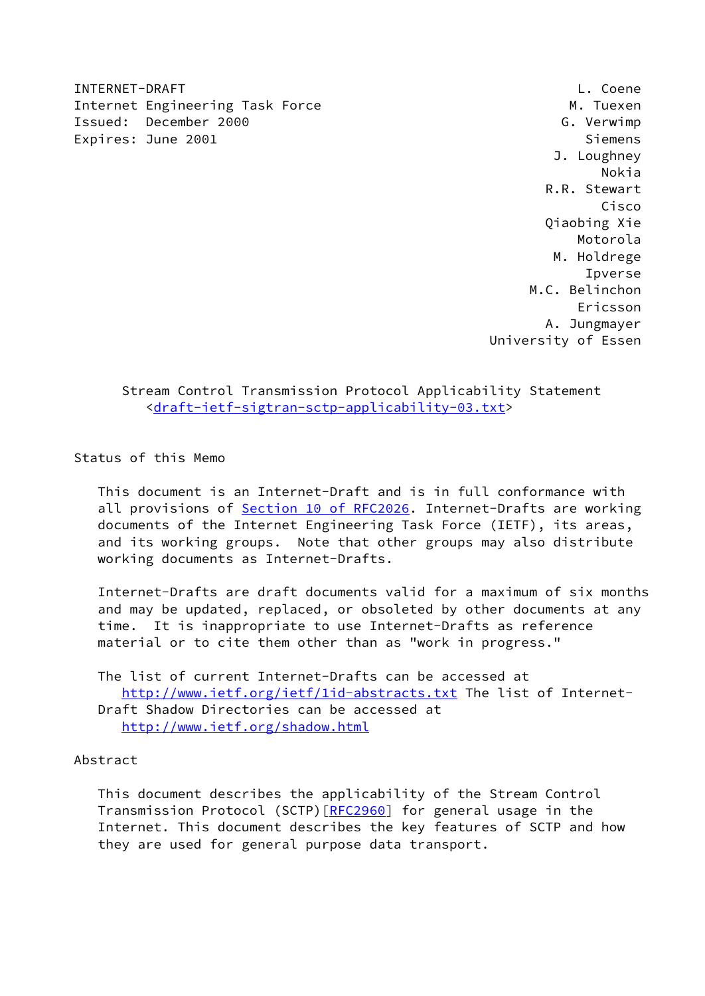INTERNET-DRAFT L. Coene Internet Engineering Task Force Manual Communication of M. Tuexen Issued: December 2000 G. Verwimp Expires: June 2001 Siemens

 J. Loughney Nokia R.R. Stewart Cisco Qiaobing Xie Motorola M. Holdrege Ipverse M.C. Belinchon Ericsson A. Jungmayer University of Essen

 Stream Control Transmission Protocol Applicability Statement <[draft-ietf-sigtran-sctp-applicability-03.txt>](https://datatracker.ietf.org/doc/pdf/draft-ietf-sigtran-sctp-applicability-03.txt)

Status of this Memo

 This document is an Internet-Draft and is in full conformance with all provisions of Section [10 of RFC2026.](https://datatracker.ietf.org/doc/pdf/rfc2026#section-10) Internet-Drafts are working documents of the Internet Engineering Task Force (IETF), its areas, and its working groups. Note that other groups may also distribute working documents as Internet-Drafts.

 Internet-Drafts are draft documents valid for a maximum of six months and may be updated, replaced, or obsoleted by other documents at any time. It is inappropriate to use Internet-Drafts as reference material or to cite them other than as "work in progress."

 The list of current Internet-Drafts can be accessed at <http://www.ietf.org/ietf/1id-abstracts.txt>The list of Internet- Draft Shadow Directories can be accessed at <http://www.ietf.org/shadow.html>

## Abstract

 This document describes the applicability of the Stream Control Transmission Protocol (SCTP)[\[RFC2960](https://datatracker.ietf.org/doc/pdf/rfc2960)] for general usage in the Internet. This document describes the key features of SCTP and how they are used for general purpose data transport.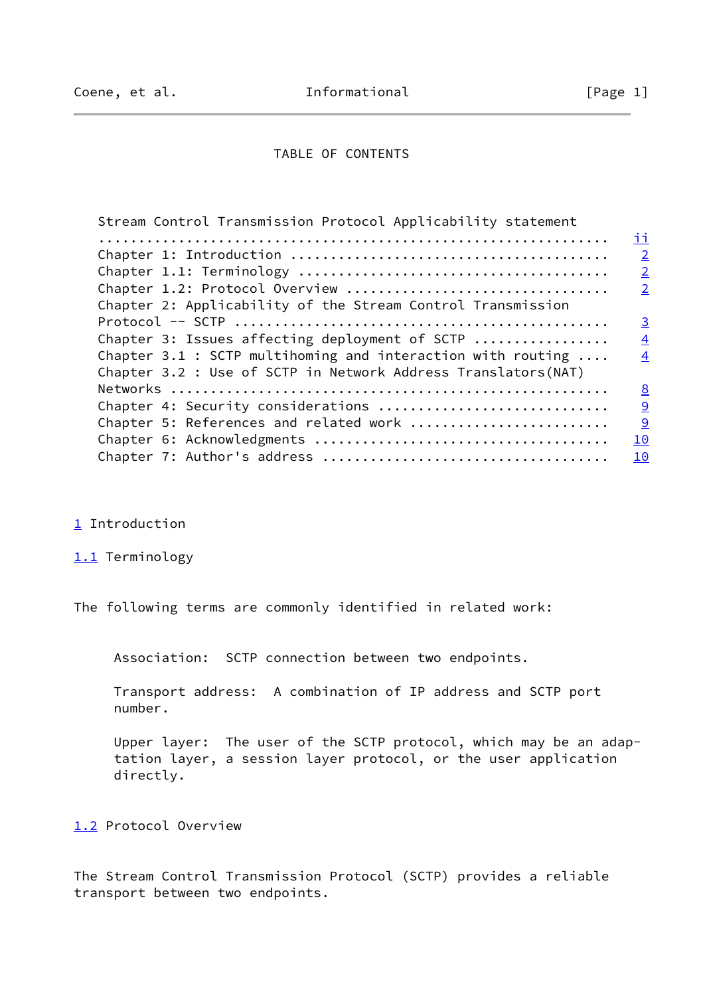### TABLE OF CONTENTS

<span id="page-1-0"></span>

| Stream Control Transmission Protocol Applicability statement         |                |
|----------------------------------------------------------------------|----------------|
|                                                                      | ii             |
|                                                                      | $\overline{2}$ |
|                                                                      | $\overline{2}$ |
| Chapter 1.2: Protocol Overview                                       | $\overline{2}$ |
| Chapter 2: Applicability of the Stream Control Transmission          |                |
|                                                                      | $\overline{3}$ |
| Chapter 3: Issues affecting deployment of SCTP                       | $\overline{4}$ |
| Chapter 3.1 : SCTP multihoming and interaction with routing $\ldots$ | $\overline{4}$ |
| Chapter 3.2 : Use of SCTP in Network Address Translators (NAT)       |                |
|                                                                      | 8              |
| Chapter 4: Security considerations                                   | $\overline{9}$ |
| Chapter 5: References and related work                               | $\overline{9}$ |
|                                                                      | 10             |
|                                                                      | 10             |
|                                                                      |                |

- <span id="page-1-1"></span>[1](#page-1-1) Introduction
- <span id="page-1-2"></span>[1.1](#page-1-2) Terminology

The following terms are commonly identified in related work:

Association: SCTP connection between two endpoints.

 Transport address: A combination of IP address and SCTP port number.

 Upper layer: The user of the SCTP protocol, which may be an adap tation layer, a session layer protocol, or the user application directly.

<span id="page-1-3"></span>[1.2](#page-1-3) Protocol Overview

The Stream Control Transmission Protocol (SCTP) provides a reliable transport between two endpoints.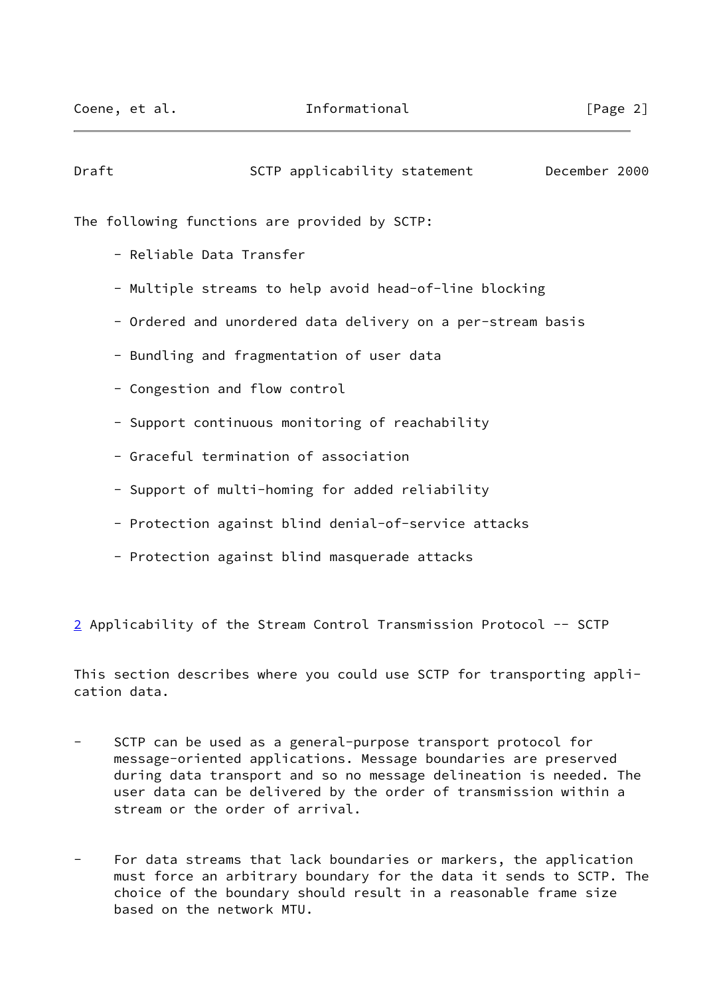<span id="page-2-0"></span>

| Draft | SCTP applicability statement December 2000                  |  |
|-------|-------------------------------------------------------------|--|
|       | The following functions are provided by SCTP:               |  |
|       | - Reliable Data Transfer                                    |  |
|       | - Multiple streams to help avoid head-of-line blocking      |  |
|       | - Ordered and unordered data delivery on a per-stream basis |  |
|       | - Bundling and fragmentation of user data                   |  |
|       | - Congestion and flow control                               |  |
|       | - Support continuous monitoring of reachability             |  |
|       | - Graceful termination of association                       |  |
|       | - Support of multi-homing for added reliability             |  |
|       |                                                             |  |

- Protection against blind denial-of-service attacks
- Protection against blind masquerade attacks

<span id="page-2-1"></span>[2](#page-2-1) Applicability of the Stream Control Transmission Protocol -- SCTP

This section describes where you could use SCTP for transporting application data.

- SCTP can be used as a general-purpose transport protocol for message-oriented applications. Message boundaries are preserved during data transport and so no message delineation is needed. The user data can be delivered by the order of transmission within a stream or the order of arrival.
- For data streams that lack boundaries or markers, the application must force an arbitrary boundary for the data it sends to SCTP. The choice of the boundary should result in a reasonable frame size based on the network MTU.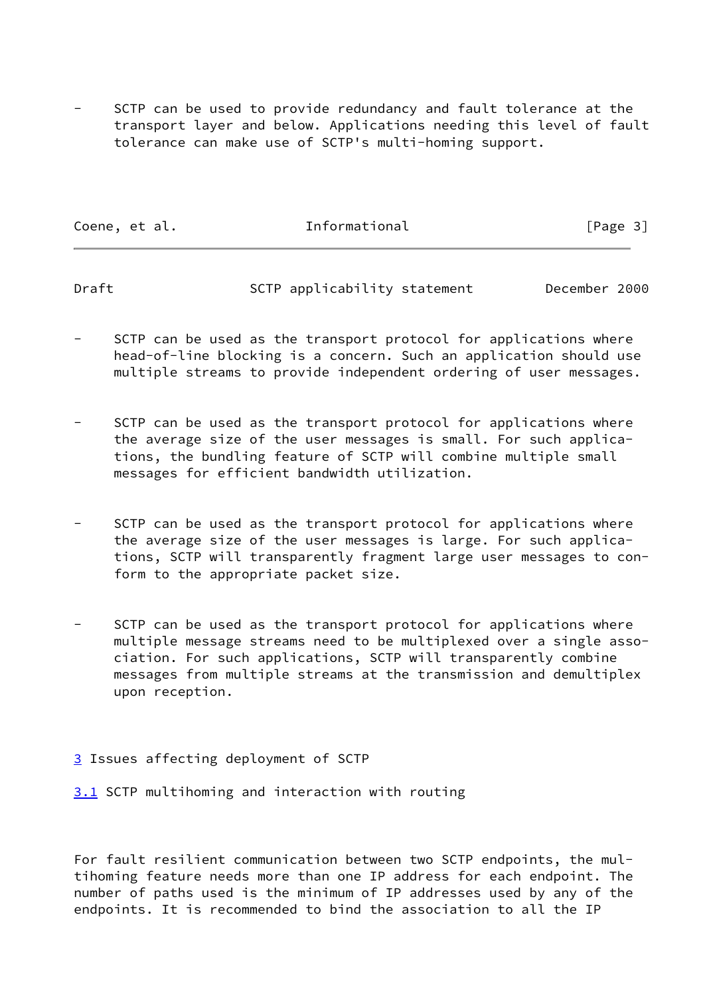SCTP can be used to provide redundancy and fault tolerance at the transport layer and below. Applications needing this level of fault tolerance can make use of SCTP's multi-homing support.

| Coene, et al. | Informational | [Page 3] |
|---------------|---------------|----------|
|               |               |          |

<span id="page-3-0"></span>Draft SCTP applicability statement December 2000

SCTP can be used as the transport protocol for applications where head-of-line blocking is a concern. Such an application should use multiple streams to provide independent ordering of user messages.

SCTP can be used as the transport protocol for applications where the average size of the user messages is small. For such applica tions, the bundling feature of SCTP will combine multiple small messages for efficient bandwidth utilization.

SCTP can be used as the transport protocol for applications where the average size of the user messages is large. For such applica tions, SCTP will transparently fragment large user messages to con form to the appropriate packet size.

SCTP can be used as the transport protocol for applications where multiple message streams need to be multiplexed over a single asso ciation. For such applications, SCTP will transparently combine messages from multiple streams at the transmission and demultiplex upon reception.

# <span id="page-3-1"></span>[3](#page-3-1) Issues affecting deployment of SCTP

<span id="page-3-2"></span>[3.1](#page-3-2) SCTP multihoming and interaction with routing

For fault resilient communication between two SCTP endpoints, the multihoming feature needs more than one IP address for each endpoint. The number of paths used is the minimum of IP addresses used by any of the endpoints. It is recommended to bind the association to all the IP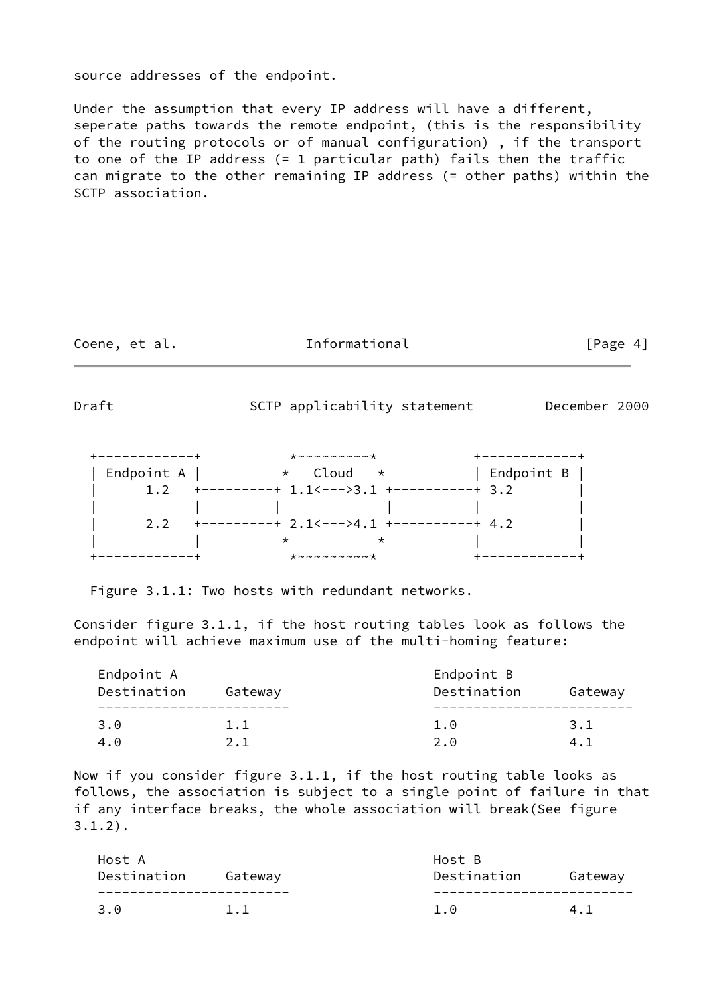### source addresses of the endpoint.

Under the assumption that every IP address will have a different, seperate paths towards the remote endpoint, (this is the responsibility of the routing protocols or of manual configuration) , if the transport to one of the IP address (= 1 particular path) fails then the traffic can migrate to the other remaining IP address (= other paths) within the SCTP association.

Coene, et al. The Informational The Informational [Page 4]

Draft SCTP applicability statement December 2000

| ---------- | $* \sim \sim \sim \sim \sim \sim \sim \star$ |              |
|------------|----------------------------------------------|--------------|
| Endpoint A | * Cloud<br>$\star$                           | Endpoint B   |
|            | --------+ 1.1<--->3.1 +--                    | -------+ 3.2 |
|            |                                              |              |
| 2.2        | ---------+ 2.1<--->4.1 +---                  | $-+ 4.2$     |
|            |                                              |              |
|            | $* \sim \sim \sim \sim \sim \sim \sim \star$ |              |

Figure 3.1.1: Two hosts with redundant networks.

Consider figure 3.1.1, if the host routing tables look as follows the endpoint will achieve maximum use of the multi-homing feature:

| Endpoint A<br>Destination | Gateway | Endpoint B<br>Destination<br>Gateway |     |  |
|---------------------------|---------|--------------------------------------|-----|--|
| 3.0                       | 1.1     | 1.0                                  | 3.1 |  |
| 4.0                       | 2.1     | 2.0                                  | 4.1 |  |

Now if you consider figure 3.1.1, if the host routing table looks as follows, the association is subject to a single point of failure in that if any interface breaks, the whole association will break(See figure 3.1.2).

| Host A<br>Destination | Gateway | Host B<br>Destination | Gateway |
|-----------------------|---------|-----------------------|---------|
| 3.0                   | 1.1     |                       |         |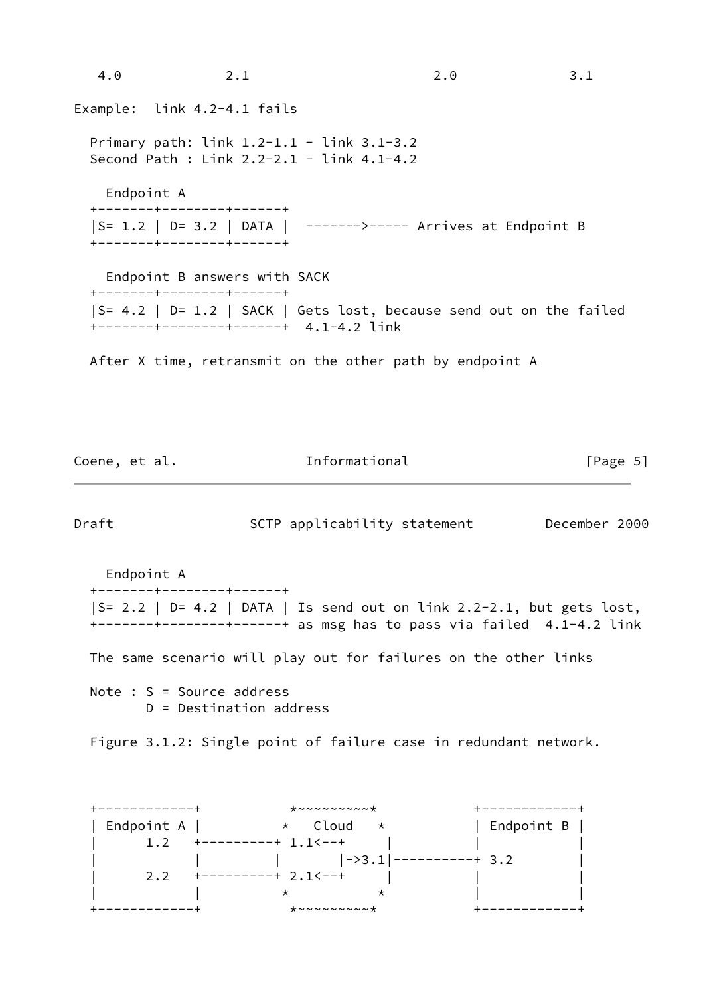| 4.0        | 2.1                                                                                              | 2.0                                                                | 3.1 |
|------------|--------------------------------------------------------------------------------------------------|--------------------------------------------------------------------|-----|
|            | Example: link 4.2-4.1 fails                                                                      |                                                                    |     |
|            | Primary path: $link 1.2-1.1 - link 3.1-3.2$<br>Second Path : Link $2.2 - 2.1 -$ link $4.1 - 4.2$ |                                                                    |     |
| Endpoint A |                                                                                                  |                                                                    |     |
|            | +-------+--------+------+                                                                        |                                                                    |     |
|            |                                                                                                  | S= 1.2   D= 3.2   DATA   ------->---- Arrives at Endpoint B        |     |
|            | +-------+--------+-----+                                                                         |                                                                    |     |
|            | Endpoint B answers with SACK                                                                     |                                                                    |     |
|            | +-------+--------+------+                                                                        |                                                                    |     |
|            |                                                                                                  | S= 4.2   D= 1.2   SACK   Gets lost, because send out on the failed |     |
|            | +-------+--------+-------+ 4.1-4.2 link                                                          |                                                                    |     |
|            |                                                                                                  |                                                                    |     |
|            |                                                                                                  | After X time, retransmit on the other path by endpoint A           |     |
|            |                                                                                                  |                                                                    |     |
|            |                                                                                                  |                                                                    |     |

| Coene, et al.                          | Informational                                                                                                                                   | [Page 5]     |
|----------------------------------------|-------------------------------------------------------------------------------------------------------------------------------------------------|--------------|
| Draft                                  | SCTP applicability statement December 2000                                                                                                      |              |
| Endpoint A<br>+-------+--------+-----+ |                                                                                                                                                 |              |
|                                        | $ S= 2.2   D= 4.2   DATA   Is send out on link 2.2-2.1, but gets lost,$<br>+-------+--------+------+ as msg has to pass via failed 4.1-4.2 link |              |
|                                        | The same scenario will play out for failures on the other links                                                                                 |              |
| Note : $S = Source address$            | $D =$ Destination address                                                                                                                       |              |
|                                        | Figure 3.1.2: Single point of failure case in redundant network.                                                                                |              |
|                                        |                                                                                                                                                 | -----------+ |
|                                        | Endpoint A $ $ $*$ Cloud $*$   Endpoint B                                                                                                       |              |
|                                        | 1.2 $+$ --------+ 1.1 <--+                                                                                                                      |              |
|                                        | 2.2 $+$ ---------+ 2.1 \cdot ----------------+ 3.2                                                                                              |              |
|                                        | $\star$<br>$\star$                                                                                                                              |              |

+------------+ \*~~~~~~~~~\* +------------+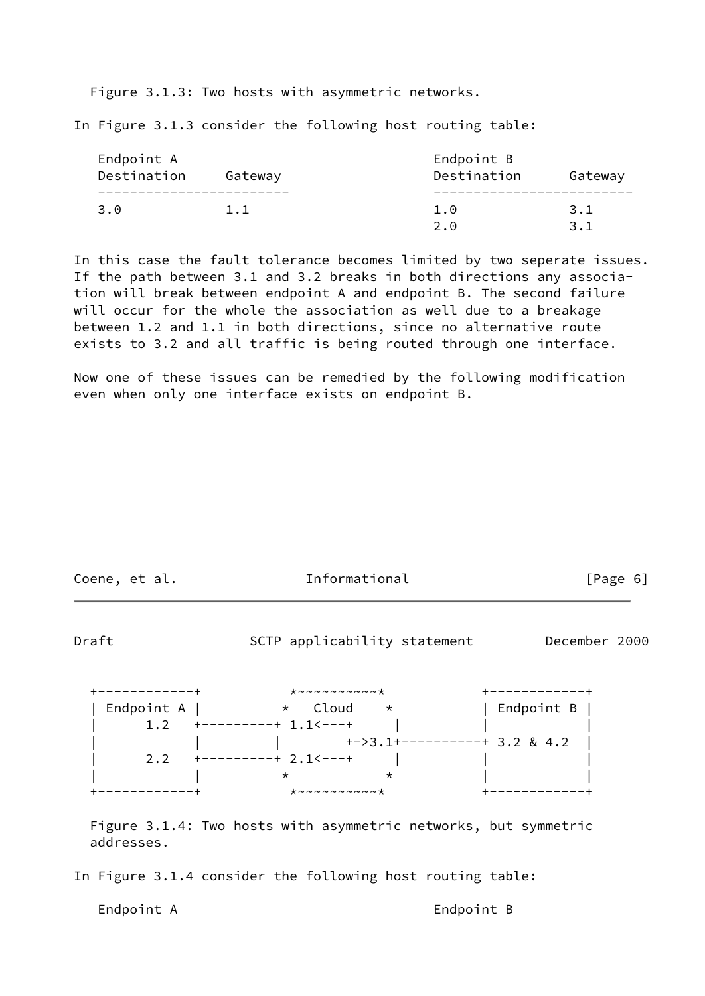Figure 3.1.3: Two hosts with asymmetric networks.

In Figure 3.1.3 consider the following host routing table:

| Endpoint A  |         | Endpoint B  |            |
|-------------|---------|-------------|------------|
| Destination | Gateway | Destination | Gateway    |
|             |         |             |            |
| 3.0         | 1.1     | 1.0         | 3.1        |
|             |         | 2.A         | <b>3</b> 1 |

In this case the fault tolerance becomes limited by two seperate issues. If the path between 3.1 and 3.2 breaks in both directions any association will break between endpoint A and endpoint B. The second failure will occur for the whole the association as well due to a breakage between 1.2 and 1.1 in both directions, since no alternative route exists to 3.2 and all traffic is being routed through one interface.

Now one of these issues can be remedied by the following modification even when only one interface exists on endpoint B.

| Coene, |  | et al. |
|--------|--|--------|
|--------|--|--------|

Informational [Page 6]

Draft SCTP applicability statement December 2000

| ---------- | $* \sim \sim \sim \sim \sim \sim \sim \sim \star$ |                |
|------------|---------------------------------------------------|----------------|
| Endpoint A | * Cloud<br>$\star$                                | Endpoint $B$   |
|            | ---------<br>$1.1< - - +$                         |                |
|            | $+->3.1+$                                         | $-+$ 3.2 & 4.2 |
| 2.2        | ------+ 2.1<---+                                  |                |
|            |                                                   |                |
|            | $* \sim \sim \sim \sim \sim \sim \sim \sim \star$ |                |

 Figure 3.1.4: Two hosts with asymmetric networks, but symmetric addresses.

In Figure 3.1.4 consider the following host routing table:

Endpoint A **Endpoint B**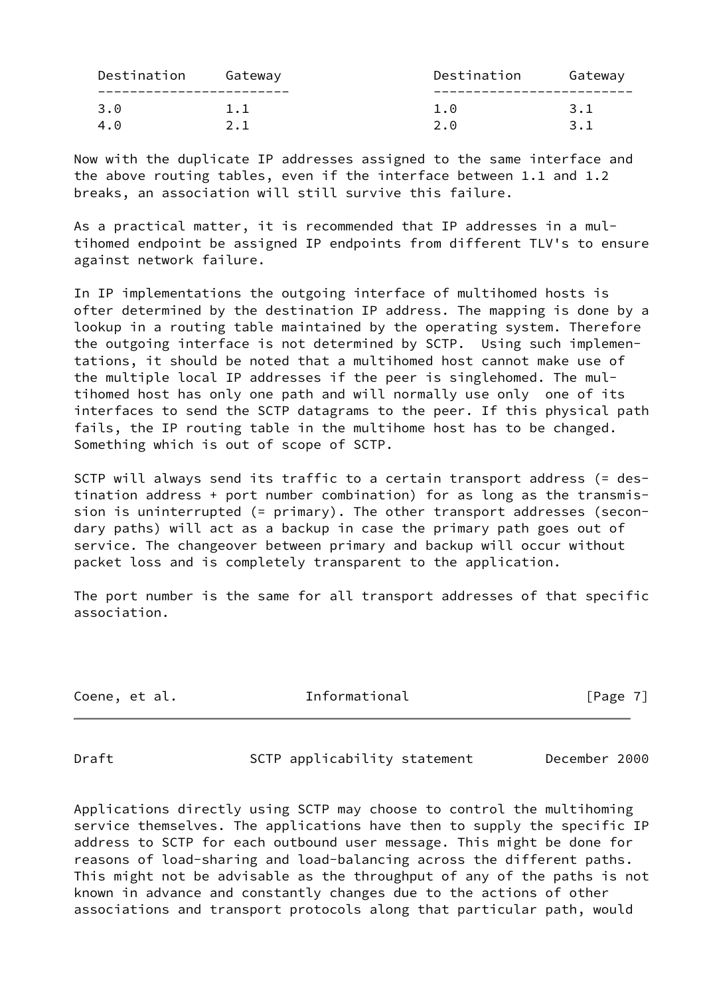| Destination | Gateway | Destination | Gateway |
|-------------|---------|-------------|---------|
|             |         |             |         |
| 3.0         | 1.1     |             | 3.1     |
| 4.0         |         | 2.A         |         |

Now with the duplicate IP addresses assigned to the same interface and the above routing tables, even if the interface between 1.1 and 1.2 breaks, an association will still survive this failure.

As a practical matter, it is recommended that IP addresses in a multihomed endpoint be assigned IP endpoints from different TLV's to ensure against network failure.

In IP implementations the outgoing interface of multihomed hosts is ofter determined by the destination IP address. The mapping is done by a lookup in a routing table maintained by the operating system. Therefore the outgoing interface is not determined by SCTP. Using such implementations, it should be noted that a multihomed host cannot make use of the multiple local IP addresses if the peer is singlehomed. The multihomed host has only one path and will normally use only one of its interfaces to send the SCTP datagrams to the peer. If this physical path fails, the IP routing table in the multihome host has to be changed. Something which is out of scope of SCTP.

SCTP will always send its traffic to a certain transport address (= destination address + port number combination) for as long as the transmission is uninterrupted (= primary). The other transport addresses (secondary paths) will act as a backup in case the primary path goes out of service. The changeover between primary and backup will occur without packet loss and is completely transparent to the application.

The port number is the same for all transport addresses of that specific association.

Coene, et al. The Informational The Informational [Page 7]

<span id="page-7-0"></span>Draft SCTP applicability statement December 2000

Applications directly using SCTP may choose to control the multihoming service themselves. The applications have then to supply the specific IP address to SCTP for each outbound user message. This might be done for reasons of load-sharing and load-balancing across the different paths. This might not be advisable as the throughput of any of the paths is not known in advance and constantly changes due to the actions of other associations and transport protocols along that particular path, would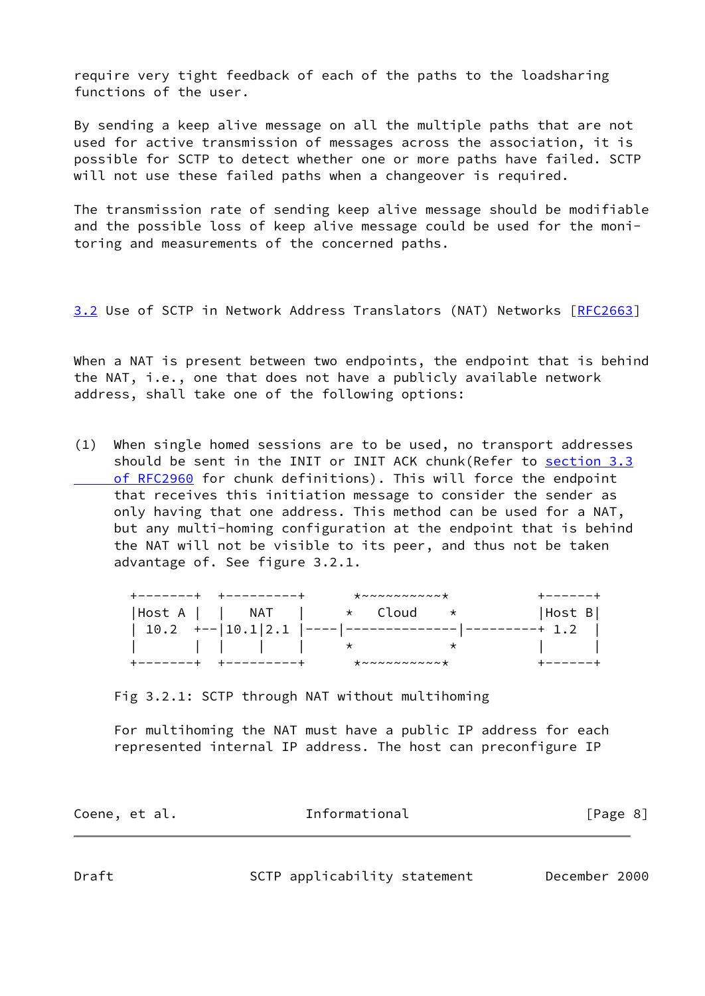require very tight feedback of each of the paths to the loadsharing functions of the user.

By sending a keep alive message on all the multiple paths that are not used for active transmission of messages across the association, it is possible for SCTP to detect whether one or more paths have failed. SCTP will not use these failed paths when a changeover is required.

The transmission rate of sending keep alive message should be modifiable and the possible loss of keep alive message could be used for the monitoring and measurements of the concerned paths.

<span id="page-8-1"></span>[3.2](#page-8-1) Use of SCTP in Network Address Translators (NAT) Networks [[RFC2663\]](https://datatracker.ietf.org/doc/pdf/rfc2663)

When a NAT is present between two endpoints, the endpoint that is behind the NAT, i.e., one that does not have a publicly available network address, shall take one of the following options:

(1) When single homed sessions are to be used, no transport addresses should be sent in the INIT or INIT ACK chunk(Refer to [section](https://datatracker.ietf.org/doc/pdf/rfc2960#section-3.3) 3.3 of RFC2960 for chunk definitions). This will force the endpoint that receives this initiation message to consider the sender as only having that one address. This method can be used for a NAT, but any multi-homing configuration at the endpoint that is behind the NAT will not be visible to its peer, and thus not be taken advantage of. See figure 3.2.1.

|                                            | $\star \sim \sim \sim \sim \sim \sim \sim \sim \star$ |       |
|--------------------------------------------|-------------------------------------------------------|-------|
| $ Host A     NAT   * Cloud$                |                                                       | HostB |
| $10.2$ +-- $ 10.1 2.1$ ---- -------------- |                                                       |       |
| $\begin{array}{ccc} \end{array}$           |                                                       |       |
|                                            | $* \sim \sim \sim \sim \sim \sim \sim \sim \star$     |       |

Fig 3.2.1: SCTP through NAT without multihoming

 For multihoming the NAT must have a public IP address for each represented internal IP address. The host can preconfigure IP

<span id="page-8-0"></span>

| Coene, et al. | Informational | [Page 8] |  |
|---------------|---------------|----------|--|
|               |               |          |  |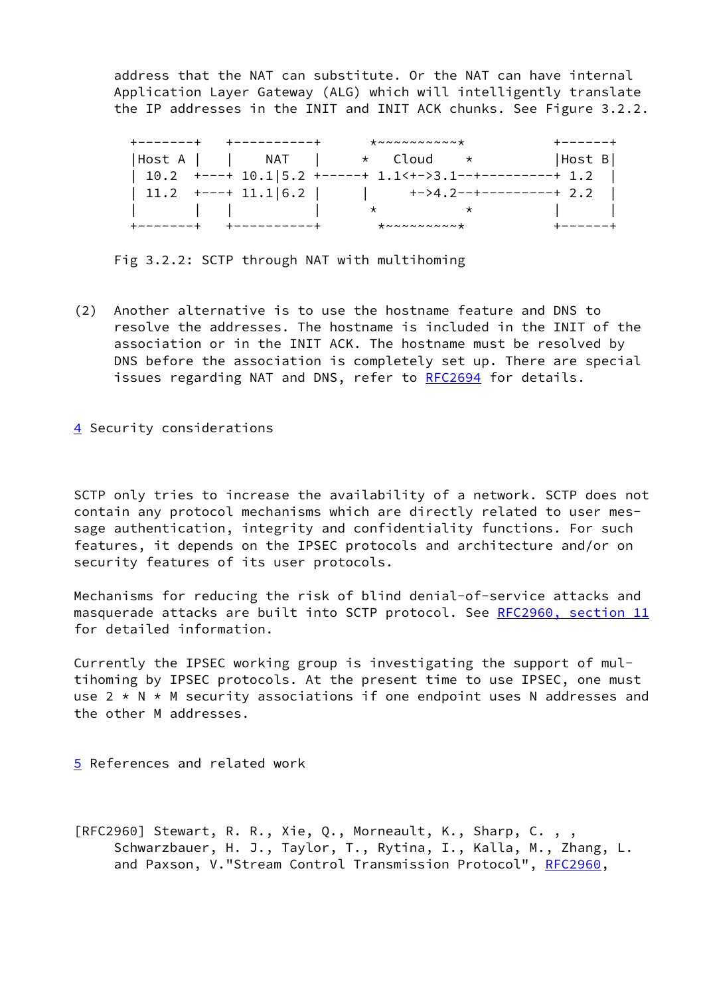address that the NAT can substitute. Or the NAT can have internal Application Layer Gateway (ALG) which will intelligently translate the IP addresses in the INIT and INIT ACK chunks. See Figure 3.2.2.

| +-------+ | +----------+                                                                                                                                                                                                                                                                                                                                                                                                                                                                                                                                                                        | $* \sim \sim \sim \sim \sim \sim \sim \sim \star$               | +------+                                                      |
|-----------|-------------------------------------------------------------------------------------------------------------------------------------------------------------------------------------------------------------------------------------------------------------------------------------------------------------------------------------------------------------------------------------------------------------------------------------------------------------------------------------------------------------------------------------------------------------------------------------|-----------------------------------------------------------------|---------------------------------------------------------------|
|           | $ Host A     NAT   * Cloud *$                                                                                                                                                                                                                                                                                                                                                                                                                                                                                                                                                       |                                                                 | HostB                                                         |
|           |                                                                                                                                                                                                                                                                                                                                                                                                                                                                                                                                                                                     | $10.2$ +---+ $10.1$   5.2 +-----+ 1.1 < + - > 3.1 -- + -------- | $-+1.2$                                                       |
|           |                                                                                                                                                                                                                                                                                                                                                                                                                                                                                                                                                                                     |                                                                 | $\vert$ 11.2 +---+ 11.1 6.2   $\vert$ +->4.2--+---------+ 2.2 |
|           | $\begin{array}{ccc} \begin{array}{ccc} \end{array} & \begin{array}{ccc} \end{array} & \begin{array}{ccc} \end{array} & \begin{array}{ccc} \end{array} & \begin{array}{ccc} \end{array} & \begin{array}{ccc} \end{array} & \begin{array}{ccc} \end{array} & \begin{array}{ccc} \end{array} & \begin{array}{ccc} \end{array} & \begin{array}{ccc} \end{array} & \begin{array}{ccc} \end{array} & \begin{array}{ccc} \end{array} & \begin{array}{ccc} \end{array} & \begin{array}{ccc} \end{array} & \begin{array}{ccc} \end{array} & \begin{array}{ccc} \end{array} & \begin{array}{$ | $\star$ and $\star$ and $\star$<br>$\star$                      |                                                               |
|           | +----------+                                                                                                                                                                                                                                                                                                                                                                                                                                                                                                                                                                        | $* \sim \sim \sim \sim \sim \sim \sim \star$                    | +------+                                                      |

Fig 3.2.2: SCTP through NAT with multihoming

- (2) Another alternative is to use the hostname feature and DNS to resolve the addresses. The hostname is included in the INIT of the association or in the INIT ACK. The hostname must be resolved by DNS before the association is completely set up. There are special issues regarding NAT and DNS, refer to [RFC2694](https://datatracker.ietf.org/doc/pdf/rfc2694) for details.
- <span id="page-9-0"></span>[4](#page-9-0) Security considerations

SCTP only tries to increase the availability of a network. SCTP does not contain any protocol mechanisms which are directly related to user message authentication, integrity and confidentiality functions. For such features, it depends on the IPSEC protocols and architecture and/or on security features of its user protocols.

Mechanisms for reducing the risk of blind denial-of-service attacks and masquerade attacks are built into SCTP protocol. See [RFC2960, section](https://datatracker.ietf.org/doc/pdf/rfc2960#section-11) 11 for detailed information.

Currently the IPSEC working group is investigating the support of multihoming by IPSEC protocols. At the present time to use IPSEC, one must use  $2 \times N \times M$  security associations if one endpoint uses N addresses and the other M addresses.

<span id="page-9-1"></span>[5](#page-9-1) References and related work

[RFC2960] Stewart, R. R., Xie, Q., Morneault, K., Sharp, C. , , Schwarzbauer, H. J., Taylor, T., Rytina, I., Kalla, M., Zhang, L. and Paxson, V."Stream Control Transmission Protocol", [RFC2960](https://datatracker.ietf.org/doc/pdf/rfc2960),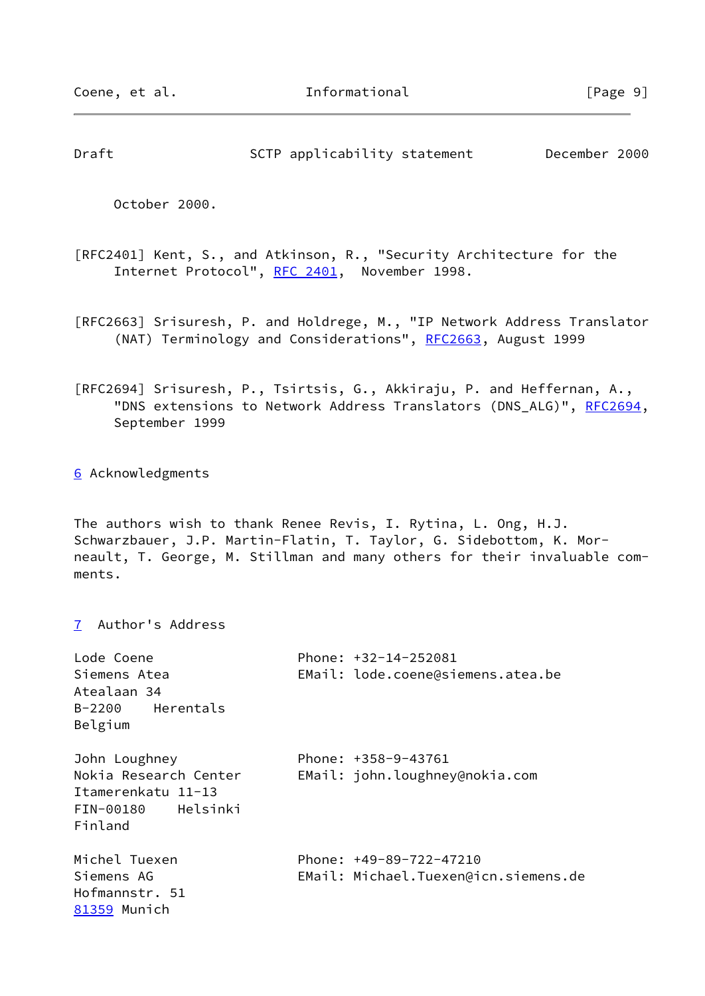<span id="page-10-0"></span>Draft SCTP applicability statement December 2000

October 2000.

- [RFC2401] Kent, S., and Atkinson, R., "Security Architecture for the Internet Protocol", [RFC 2401](https://datatracker.ietf.org/doc/pdf/rfc2401), November 1998.
- [RFC2663] Srisuresh, P. and Holdrege, M., "IP Network Address Translator (NAT) Terminology and Considerations", [RFC2663](https://datatracker.ietf.org/doc/pdf/rfc2663), August 1999
- [RFC2694] Srisuresh, P., Tsirtsis, G., Akkiraju, P. and Heffernan, A., "DNS extensions to Network Address Translators (DNS\_ALG)", [RFC2694](https://datatracker.ietf.org/doc/pdf/rfc2694), September 1999

<span id="page-10-1"></span>[6](#page-10-1) Acknowledgments

<span id="page-10-2"></span>[7](#page-10-2) Author's Address

The authors wish to thank Renee Revis, I. Rytina, L. Ong, H.J. Schwarzbauer, J.P. Martin-Flatin, T. Taylor, G. Sidebottom, K. Morneault, T. George, M. Stillman and many others for their invaluable comments.

<span id="page-10-3"></span>

| Phone: $+32-14-252081$<br>EMail: lode.coene@siemens.atea.be       |
|-------------------------------------------------------------------|
| Phone: $+358-9-43761$<br>EMail: john.loughney@nokia.com           |
| Phone: $+49-89-722-47210$<br>EMail: Michael.Tuexen@icn.siemens.de |
|                                                                   |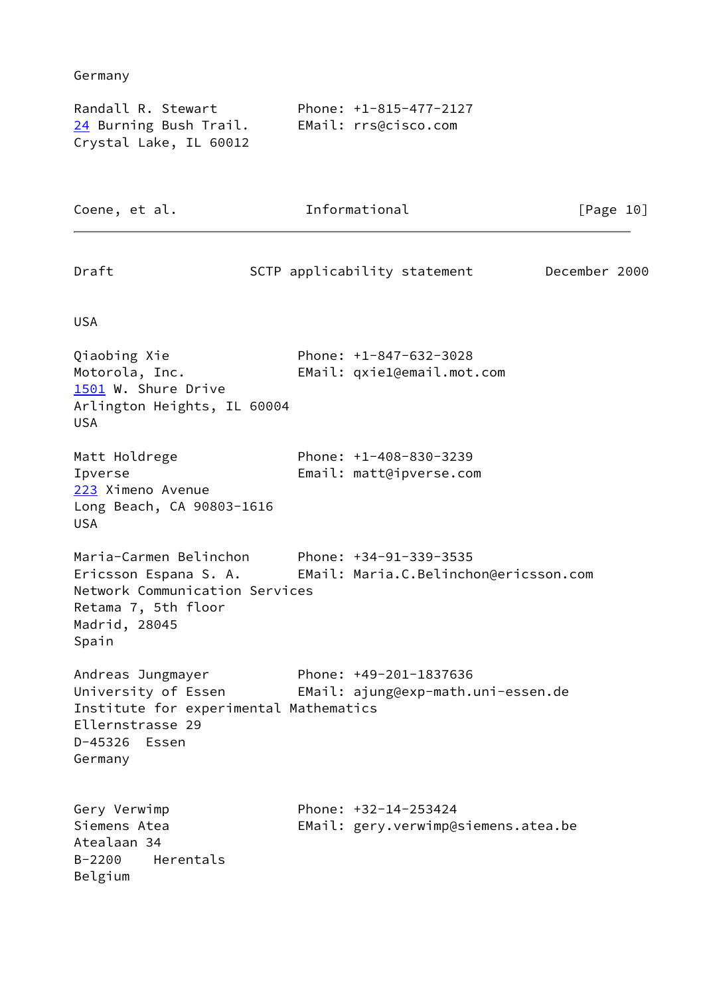<span id="page-11-2"></span><span id="page-11-1"></span><span id="page-11-0"></span>

| Germany                                                                                                                                                   |                                                              |               |
|-----------------------------------------------------------------------------------------------------------------------------------------------------------|--------------------------------------------------------------|---------------|
| Randall R. Stewart<br><u>24</u> Burning Bush Trail.<br>Crystal Lake, IL 60012                                                                             | Phone: +1-815-477-2127<br>EMail: rrs@cisco.com               |               |
| Coene, et al.                                                                                                                                             | Informational                                                | [Page 10]     |
| Draft                                                                                                                                                     | SCTP applicability statement                                 | December 2000 |
| <b>USA</b>                                                                                                                                                |                                                              |               |
| Qiaobing Xie<br>Motorola, Inc.<br>1501 W. Shure Drive<br>Arlington Heights, IL 60004<br><b>USA</b>                                                        | Phone: +1-847-632-3028<br>EMail: qxie1@email.mot.com         |               |
| Matt Holdrege<br>Ipverse<br>223 Ximeno Avenue<br>Long Beach, CA 90803-1616<br><b>USA</b>                                                                  | Phone: +1-408-830-3239<br>Email: matt@ipverse.com            |               |
| Maria-Carmen Belinchon Phone: +34-91-339-3535<br>Ericsson Espana S. A.<br>Network Communication Services<br>Retama 7, 5th floor<br>Madrid, 28045<br>Spain | EMail: Maria.C.Belinchon@ericsson.com                        |               |
| Andreas Jungmayer<br>University of Essen<br>Institute for experimental Mathematics<br>Ellernstrasse 29<br>D-45326 Essen<br>Germany                        | Phone: +49-201-1837636<br>EMail: ajung@exp-math.uni-essen.de |               |
| Gery Verwimp<br>Siemens Atea<br>Atealaan 34<br>Herentals<br>$B - 2200$<br>Belgium                                                                         | Phone: +32-14-253424<br>EMail: gery.verwimp@siemens.atea.be  |               |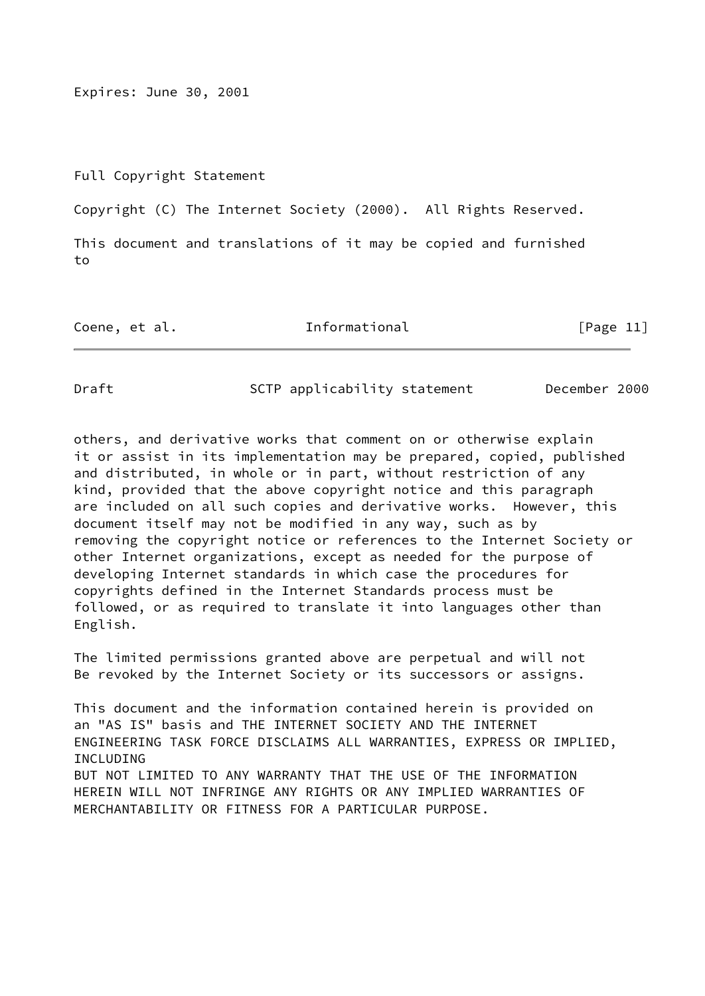Expires: June 30, 2001

Full Copyright Statement

Copyright (C) The Internet Society (2000). All Rights Reserved.

This document and translations of it may be copied and furnished to

Coene, et al. The Informational [Page 11]

Draft SCTP applicability statement December 2000

others, and derivative works that comment on or otherwise explain it or assist in its implementation may be prepared, copied, published and distributed, in whole or in part, without restriction of any kind, provided that the above copyright notice and this paragraph are included on all such copies and derivative works. However, this document itself may not be modified in any way, such as by removing the copyright notice or references to the Internet Society or other Internet organizations, except as needed for the purpose of developing Internet standards in which case the procedures for copyrights defined in the Internet Standards process must be followed, or as required to translate it into languages other than English.

The limited permissions granted above are perpetual and will not Be revoked by the Internet Society or its successors or assigns.

This document and the information contained herein is provided on an "AS IS" basis and THE INTERNET SOCIETY AND THE INTERNET ENGINEERING TASK FORCE DISCLAIMS ALL WARRANTIES, EXPRESS OR IMPLIED, INCLUDING BUT NOT LIMITED TO ANY WARRANTY THAT THE USE OF THE INFORMATION HEREIN WILL NOT INFRINGE ANY RIGHTS OR ANY IMPLIED WARRANTIES OF MERCHANTABILITY OR FITNESS FOR A PARTICULAR PURPOSE.